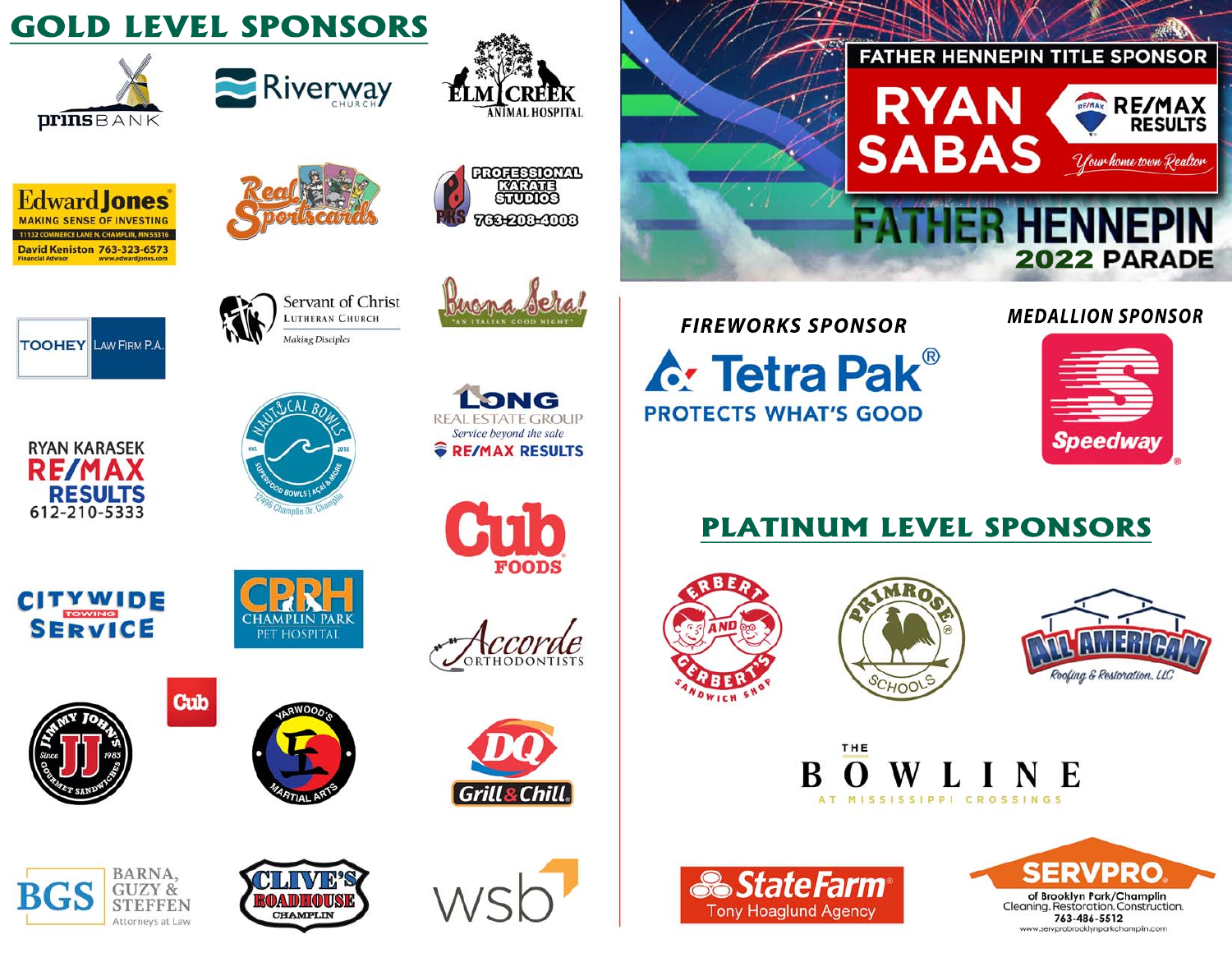# **GOLD LEVEL SPONSORS**











Servant of Christ

LUTHERAN CHURCH

**Making Disciples** 







**RESULTS** 612-210-5333





**FIREWORKS SPONSOR** 

**A: Tetra Pak<sup>®</sup> PROTECTS WHAT'S GOOD** 

#### **MEDALLION SPONSOR**

2022 PARADE

RE/MAX

Your home town Realtor

**RESULTS** 

**FATHER HENNEPIN TITLE SPONSOR** 

ER HENN

RYAN

**SABAS** 



## **PLATINUM LEVEL SPONSORS**







#### THE E AT MISSISSIPPI CROSSINGS













**Cub**